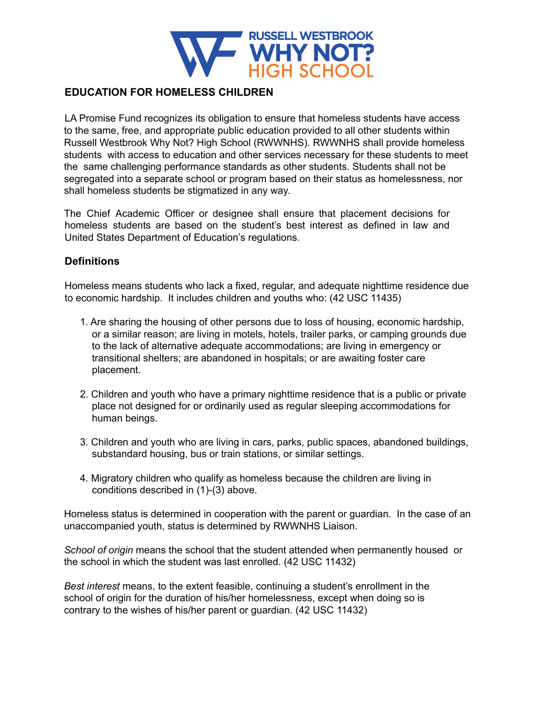

#### **EDUCATION FOR HOMELESS CHILDREN**

LA Promise Fund recognizes its obligation to ensure that homeless students have access to the same, free, and appropriate public education provided to all other students within Russell Westbrook Why Not? High School (RWWNHS). RWWNHS shall provide homeless students with access to education and other services necessary for these students to meet the same challenging performance standards as other students. Students shall not be segregated into a separate school or program based on their status as homelessness, nor shall homeless students be stigmatized in any way.

The Chief Academic Officer or designee shall ensure that placement decisions for homeless students are based on the student's best interest as defined in law and United States Department of Education's regulations.

## **Definitions**

Homeless means students who lack a fixed, regular, and adequate nighttime residence due to economic hardship. It includes children and youths who: (42 USC 11435)

- 1. Are sharing the housing of other persons due to loss of housing, economic hardship, or a similar reason; are living in motels, hotels, trailer parks, or camping grounds due to the lack of alternative adequate accommodations; are living in emergency or transitional shelters; are abandoned in hospitals; or are awaiting foster care placement.
- 2. Children and youth who have a primary nighttime residence that is a public or private place not designed for or ordinarily used as regular sleeping accommodations for human beings.
- 3. Children and youth who are living in cars, parks, public spaces, abandoned buildings, substandard housing, bus or train stations, or similar settings.
- 4. Migratory children who qualify as homeless because the children are living in conditions described in (1)-(3) above.

Homeless status is determined in cooperation with the parent or guardian. In the case of an unaccompanied youth, status is determined by RWWNHS Liaison.

*School of origin* means the school that the student attended when permanently housed or the school in which the student was last enrolled. (42 USC 11432)

*Best interest* means, to the extent feasible, continuing a student's enrollment in the school of origin for the duration of his/her homelessness, except when doing so is contrary to the wishes of his/her parent or guardian. (42 USC 11432)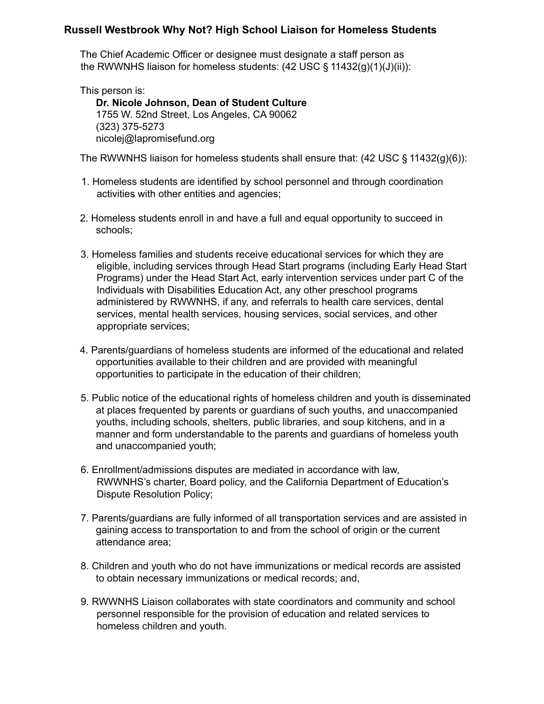#### **Russell Westbrook Why Not? High School Liaison for Homeless Students**

The Chief Academic Officer or designee must designate a staff person as the RWWNHS liaison for homeless students: (42 USC § 11432(g)(1)(J)(ii)):

This person is: **Dr. Nicole Johnson, Dean of Student Culture** 1755 W. 52nd Street, Los Angeles, CA 90062 (323) 375-5273 nicolej@lapromisefund.org

The RWWNHS liaison for homeless students shall ensure that:  $(42 \text{ USC} \S 11432(g)(6))$ :

- 1. Homeless students are identified by school personnel and through coordination activities with other entities and agencies;
- 2. Homeless students enroll in and have a full and equal opportunity to succeed in schools;
- 3. Homeless families and students receive educational services for which they are eligible, including services through Head Start programs (including Early Head Start Programs) under the Head Start Act, early intervention services under part C of the Individuals with Disabilities Education Act, any other preschool programs administered by RWWNHS, if any, and referrals to health care services, dental services, mental health services, housing services, social services, and other appropriate services;
- 4. Parents/guardians of homeless students are informed of the educational and related opportunities available to their children and are provided with meaningful opportunities to participate in the education of their children;
- 5. Public notice of the educational rights of homeless children and youth is disseminated at places frequented by parents or guardians of such youths, and unaccompanied youths, including schools, shelters, public libraries, and soup kitchens, and in a manner and form understandable to the parents and guardians of homeless youth and unaccompanied youth;
- 6. Enrollment/admissions disputes are mediated in accordance with law, RWWNHS's charter, Board policy, and the California Department of Education's Dispute Resolution Policy;
- 7. Parents/guardians are fully informed of all transportation services and are assisted in gaining access to transportation to and from the school of origin or the current attendance area;
- 8. Children and youth who do not have immunizations or medical records are assisted to obtain necessary immunizations or medical records; and,
- 9. RWWNHS Liaison collaborates with state coordinators and community and school personnel responsible for the provision of education and related services to homeless children and youth.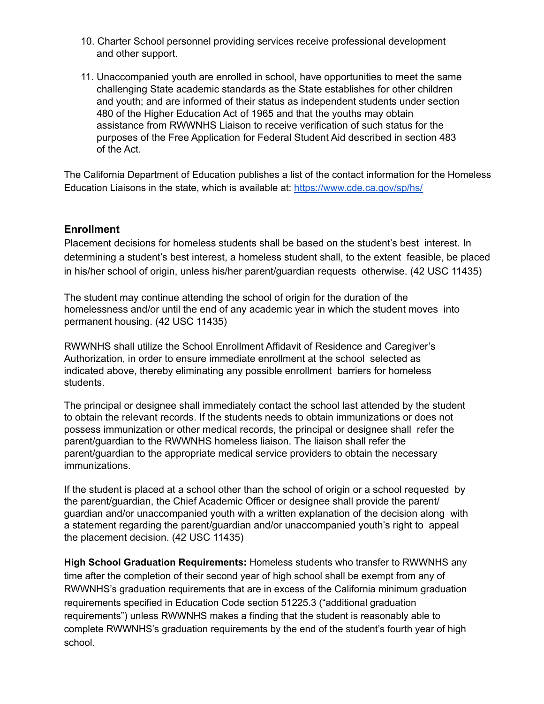- 10. Charter School personnel providing services receive professional development and other support.
- 11. Unaccompanied youth are enrolled in school, have opportunities to meet the same challenging State academic standards as the State establishes for other children and youth; and are informed of their status as independent students under section 480 of the Higher Education Act of 1965 and that the youths may obtain assistance from RWWNHS Liaison to receive verification of such status for the purposes of the Free Application for Federal Student Aid described in section 483 of the Act.

The California Department of Education publishes a list of the contact information for the Homeless Education Liaisons in the state, which is available at: <https://www.cde.ca.gov/sp/hs/>

## **Enrollment**

Placement decisions for homeless students shall be based on the student's best interest. In determining a student's best interest, a homeless student shall, to the extent feasible, be placed in his/her school of origin, unless his/her parent/guardian requests otherwise. (42 USC 11435)

The student may continue attending the school of origin for the duration of the homelessness and/or until the end of any academic year in which the student moves into permanent housing. (42 USC 11435)

RWWNHS shall utilize the School Enrollment Affidavit of Residence and Caregiver's Authorization, in order to ensure immediate enrollment at the school selected as indicated above, thereby eliminating any possible enrollment barriers for homeless students.

The principal or designee shall immediately contact the school last attended by the student to obtain the relevant records. If the students needs to obtain immunizations or does not possess immunization or other medical records, the principal or designee shall refer the parent/guardian to the RWWNHS homeless liaison. The liaison shall refer the parent/guardian to the appropriate medical service providers to obtain the necessary immunizations.

If the student is placed at a school other than the school of origin or a school requested by the parent/guardian, the Chief Academic Officer or designee shall provide the parent/ guardian and/or unaccompanied youth with a written explanation of the decision along with a statement regarding the parent/guardian and/or unaccompanied youth's right to appeal the placement decision. (42 USC 11435)

**High School Graduation Requirements:** Homeless students who transfer to RWWNHS any time after the completion of their second year of high school shall be exempt from any of RWWNHS's graduation requirements that are in excess of the California minimum graduation requirements specified in Education Code section 51225.3 ("additional graduation requirements") unless RWWNHS makes a finding that the student is reasonably able to complete RWWNHS's graduation requirements by the end of the student's fourth year of high school.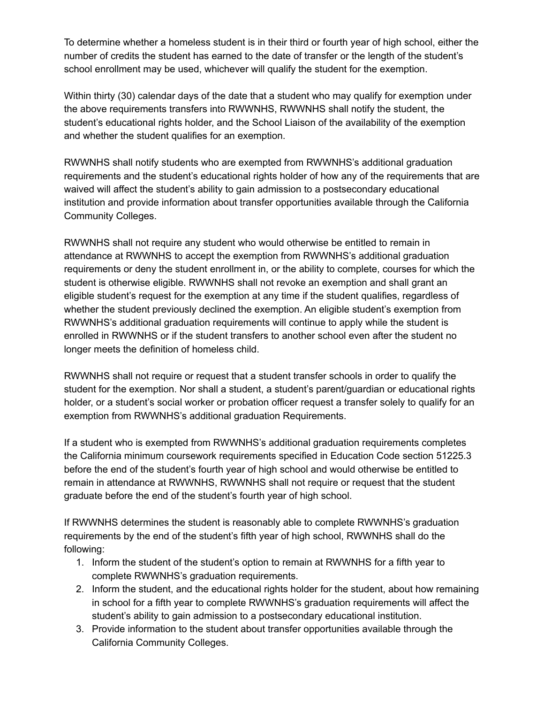To determine whether a homeless student is in their third or fourth year of high school, either the number of credits the student has earned to the date of transfer or the length of the student's school enrollment may be used, whichever will qualify the student for the exemption.

Within thirty (30) calendar days of the date that a student who may qualify for exemption under the above requirements transfers into RWWNHS, RWWNHS shall notify the student, the student's educational rights holder, and the School Liaison of the availability of the exemption and whether the student qualifies for an exemption.

RWWNHS shall notify students who are exempted from RWWNHS's additional graduation requirements and the student's educational rights holder of how any of the requirements that are waived will affect the student's ability to gain admission to a postsecondary educational institution and provide information about transfer opportunities available through the California Community Colleges.

RWWNHS shall not require any student who would otherwise be entitled to remain in attendance at RWWNHS to accept the exemption from RWWNHS's additional graduation requirements or deny the student enrollment in, or the ability to complete, courses for which the student is otherwise eligible. RWWNHS shall not revoke an exemption and shall grant an eligible student's request for the exemption at any time if the student qualifies, regardless of whether the student previously declined the exemption. An eligible student's exemption from RWWNHS's additional graduation requirements will continue to apply while the student is enrolled in RWWNHS or if the student transfers to another school even after the student no longer meets the definition of homeless child.

RWWNHS shall not require or request that a student transfer schools in order to qualify the student for the exemption. Nor shall a student, a student's parent/guardian or educational rights holder, or a student's social worker or probation officer request a transfer solely to qualify for an exemption from RWWNHS's additional graduation Requirements.

If a student who is exempted from RWWNHS's additional graduation requirements completes the California minimum coursework requirements specified in Education Code section 51225.3 before the end of the student's fourth year of high school and would otherwise be entitled to remain in attendance at RWWNHS, RWWNHS shall not require or request that the student graduate before the end of the student's fourth year of high school.

If RWWNHS determines the student is reasonably able to complete RWWNHS's graduation requirements by the end of the student's fifth year of high school, RWWNHS shall do the following:

- 1. Inform the student of the student's option to remain at RWWNHS for a fifth year to complete RWWNHS's graduation requirements.
- 2. Inform the student, and the educational rights holder for the student, about how remaining in school for a fifth year to complete RWWNHS's graduation requirements will affect the student's ability to gain admission to a postsecondary educational institution.
- 3. Provide information to the student about transfer opportunities available through the California Community Colleges.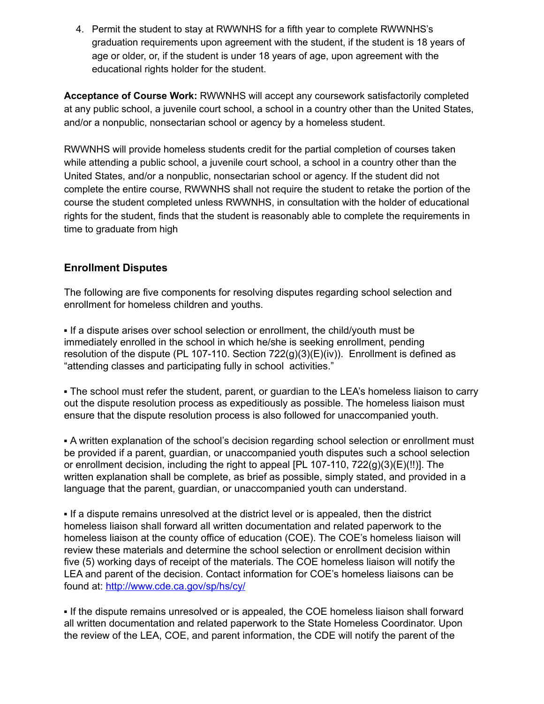4. Permit the student to stay at RWWNHS for a fifth year to complete RWWNHS's graduation requirements upon agreement with the student, if the student is 18 years of age or older, or, if the student is under 18 years of age, upon agreement with the educational rights holder for the student.

**Acceptance of Course Work:** RWWNHS will accept any coursework satisfactorily completed at any public school, a juvenile court school, a school in a country other than the United States, and/or a nonpublic, nonsectarian school or agency by a homeless student.

RWWNHS will provide homeless students credit for the partial completion of courses taken while attending a public school, a juvenile court school, a school in a country other than the United States, and/or a nonpublic, nonsectarian school or agency. If the student did not complete the entire course, RWWNHS shall not require the student to retake the portion of the course the student completed unless RWWNHS, in consultation with the holder of educational rights for the student, finds that the student is reasonably able to complete the requirements in time to graduate from high

# **Enrollment Disputes**

The following are five components for resolving disputes regarding school selection and enrollment for homeless children and youths.

▪ If a dispute arises over school selection or enrollment, the child/youth must be immediately enrolled in the school in which he/she is seeking enrollment, pending resolution of the dispute (PL 107-110. Section  $722(q)(3)(E)(iv)$ ). Enrollment is defined as "attending classes and participating fully in school activities."

• The school must refer the student, parent, or guardian to the LEA's homeless liaison to carry out the dispute resolution process as expeditiously as possible. The homeless liaison must ensure that the dispute resolution process is also followed for unaccompanied youth.

▪ A written explanation of the school's decision regarding school selection or enrollment must be provided if a parent, guardian, or unaccompanied youth disputes such a school selection or enrollment decision, including the right to appeal [PL 107-110, 722(g)(3)(E)(!!)]. The written explanation shall be complete, as brief as possible, simply stated, and provided in a language that the parent, guardian, or unaccompanied youth can understand.

▪ If a dispute remains unresolved at the district level or is appealed, then the district homeless liaison shall forward all written documentation and related paperwork to the homeless liaison at the county office of education (COE). The COE's homeless liaison will review these materials and determine the school selection or enrollment decision within five (5) working days of receipt of the materials. The COE homeless liaison will notify the LEA and parent of the decision. Contact information for COE's homeless liaisons can be found at: http://www.cde.ca.gov/sp/hs/cy/

▪ If the dispute remains unresolved or is appealed, the COE homeless liaison shall forward all written documentation and related paperwork to the State Homeless Coordinator. Upon the review of the LEA, COE, and parent information, the CDE will notify the parent of the